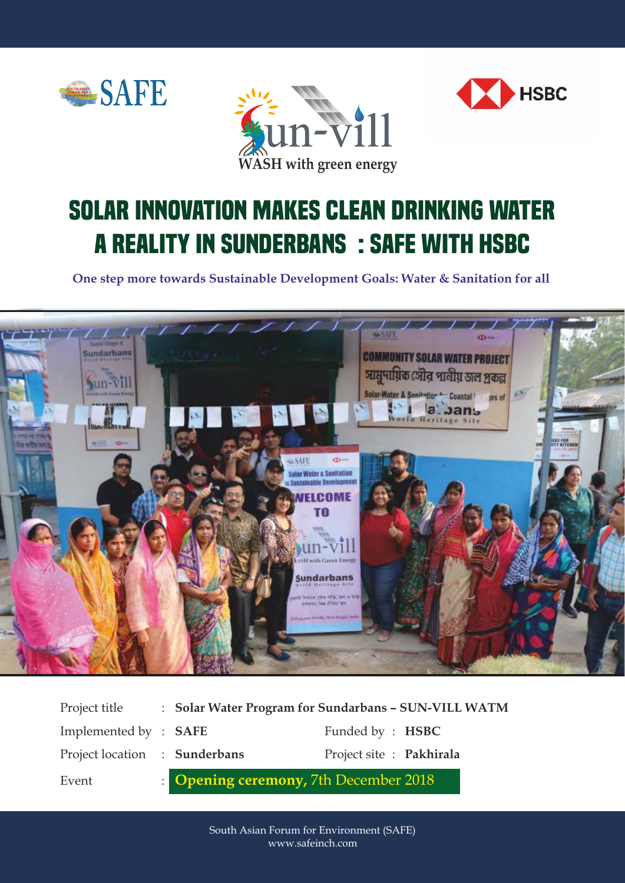





## **Solar innovation makes clean drinking water a reality in Sunderbans : SAFE with HSBC**

**One step more towards Sustainable Development Goals: Water & Sanitation for all**



| Project title                 | : Solar Water Program for Sundarbans - SUN-VILL WATM |                          |  |
|-------------------------------|------------------------------------------------------|--------------------------|--|
| Implemented by : <b>SAFE</b>  |                                                      | Funded by : <b>HSBC</b>  |  |
| Project location : Sunderbans |                                                      | Project site : Pakhirala |  |
| Event                         | : <b>Opening ceremony</b> , 7th December 2018        |                          |  |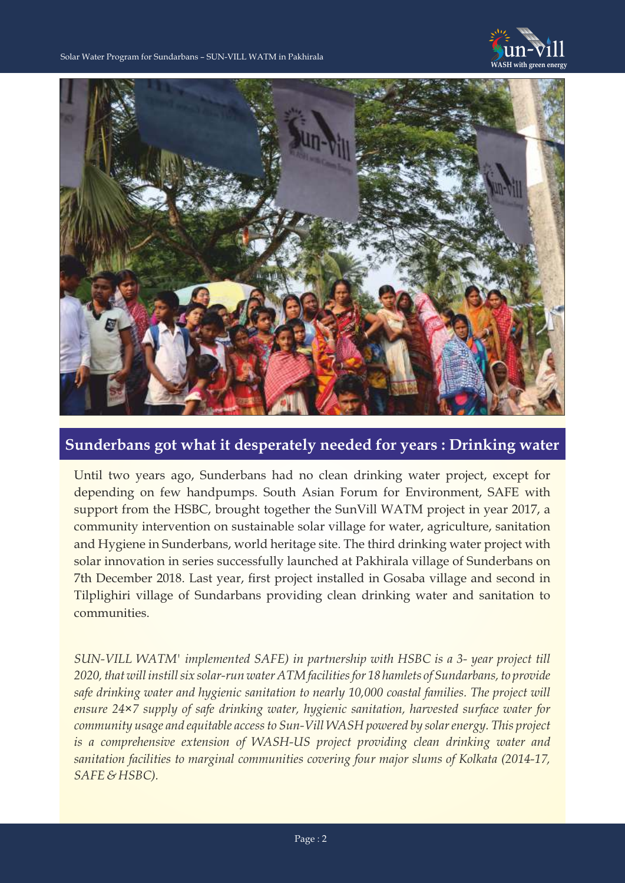



**Sunderbans got what it desperately needed for years : Drinking water**

Until two years ago, Sunderbans had no clean drinking water project, except for depending on few handpumps. South Asian Forum for Environment, SAFE with support from the HSBC, brought together the SunVill WATM project in year 2017, a community intervention on sustainable solar village for water, agriculture, sanitation and Hygiene in Sunderbans, world heritage site. The third drinking water project with solar innovation in series successfully launched at Pakhirala village of Sunderbans on 7th December 2018. Last year, first project installed in Gosaba village and second in Tilplighiri village of Sundarbans providing clean drinking water and sanitation to communities.

*SUN-VILL WATM' implemented SAFE) in partnership with HSBC is a 3- year project till 2020, that will instill six solar-run water ATM facilities for 18 hamlets of Sundarbans, to provide safe drinking water and hygienic sanitation to nearly 10,000 coastal families. The project will ensure 24×7 supply of safe drinking water, hygienic sanitation, harvested surface water for community usage and equitable access to Sun-Vill WASH powered by solar energy. This project is a comprehensive extension of WASH-US project providing clean drinking water and sanitation facilities to marginal communities covering four major slums of Kolkata (2014-17, SAFE & HSBC).*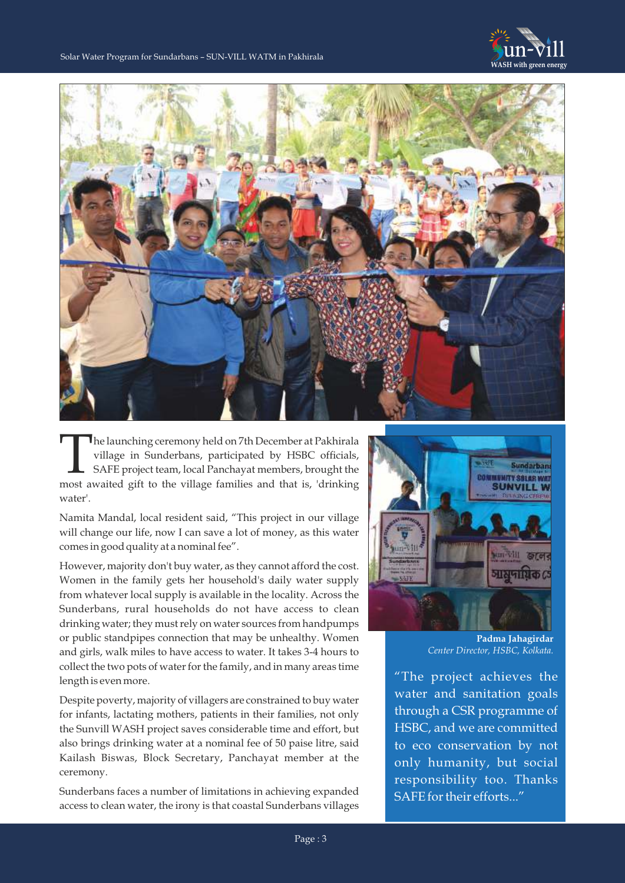



The launching ceremony held on 7th December at Pakhirala village in Sunderbans, participated by HSBC officials, SAFE project team, local Panchayat members, brought the most awaited gift to the village families and that is, SAFE project team, local Panchayat members, brought the water'.

Namita Mandal, local resident said, "This project in our village will change our life, now I can save a lot of money, as this water comes in good quality at a nominal fee".

However, majority don't buy water, as they cannot afford the cost. Women in the family gets her household's daily water supply from whatever local supply is available in the locality. Across the Sunderbans, rural households do not have access to clean drinking water; they must rely on water sources from handpumps or public standpipes connection that may be unhealthy. Women and girls, walk miles to have access to water. It takes 3-4 hours to collect the two pots of water for the family, and in many areas time length is even more.

Despite poverty, majority of villagers are constrained to buy water for infants, lactating mothers, patients in their families, not only the Sunvill WASH project saves considerable time and effort, but also brings drinking water at a nominal fee of 50 paise litre, said Kailash Biswas, Block Secretary, Panchayat member at the ceremony.

Sunderbans faces a number of limitations in achieving expanded access to clean water, the irony is that coastal Sunderbans villages



**Padma Jahagirdar** *Center Director, HSBC, Kolkata.*

"The project achieves the water and sanitation goals through a CSR programme of HSBC, and we are committed to eco conservation by not only humanity, but social responsibility too. Thanks SAFE for their efforts..."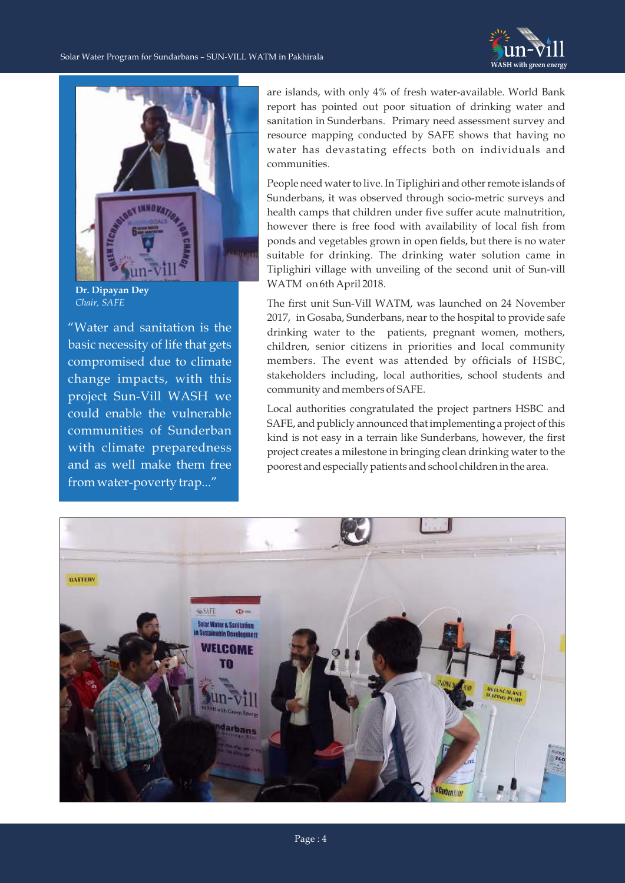



**Dr. Dipayan Dey** *Chair, SAFE*

"Water and sanitation is the basic necessity of life that gets compromised due to climate change impacts, with this project Sun-Vill WASH we could enable the vulnerable communities of Sunderban with climate preparedness and as well make them free from water-poverty trap..."

are islands, with only 4% of fresh water-available. World Bank report has pointed out poor situation of drinking water and sanitation in Sunderbans. Primary need assessment survey and resource mapping conducted by SAFE shows that having no water has devastating effects both on individuals and communities.

People need water to live. In Tiplighiri and other remote islands of Sunderbans, it was observed through socio-metric surveys and health camps that children under five suffer acute malnutrition, however there is free food with availability of local fish from ponds and vegetables grown in open fields, but there is no water suitable for drinking. The drinking water solution came in Tiplighiri village with unveiling of the second unit of Sun-vill WATM on 6th April 2018.

The first unit Sun-Vill WATM, was launched on 24 November 2017, in Gosaba, Sunderbans, near to the hospital to provide safe drinking water to the patients, pregnant women, mothers, children, senior citizens in priorities and local community members. The event was attended by officials of HSBC, stakeholders including, local authorities, school students and community and members of SAFE.

Local authorities congratulated the project partners HSBC and SAFE, and publicly announced that implementing a project of this kind is not easy in a terrain like Sunderbans, however, the first project creates a milestone in bringing clean drinking water to the poorest and especially patients and school children in the area.

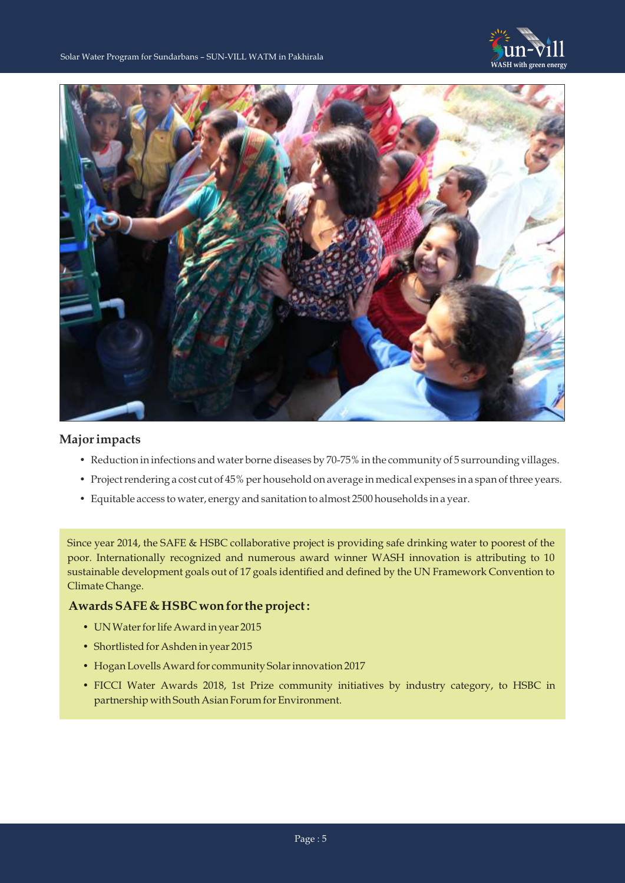



## **Major impacts**

- Reduction in infections and water borne diseases by 70-75% in the community of 5 surrounding villages.
- Project rendering a cost cut of 45% per household on average in medical expenses in a span of three years.
- Equitable access to water, energy and sanitation to almost 2500 households in a year.

Since year 2014, the SAFE & HSBC collaborative project is providing safe drinking water to poorest of the poor. Internationally recognized and numerous award winner WASH innovation is attributing to 10 sustainable development goals out of 17 goals identified and defined by the UN Framework Convention to Climate Change.

## **Awards SAFE & HSBC won for the project :**

- UN Water for life Award in year 2015
- Shortlisted for Ashden in year 2015
- Hogan Lovells Award for community Solar innovation 2017
- FICCI Water Awards 2018, 1st Prize community initiatives by industry category, to HSBC in partnership with South Asian Forum for Environment.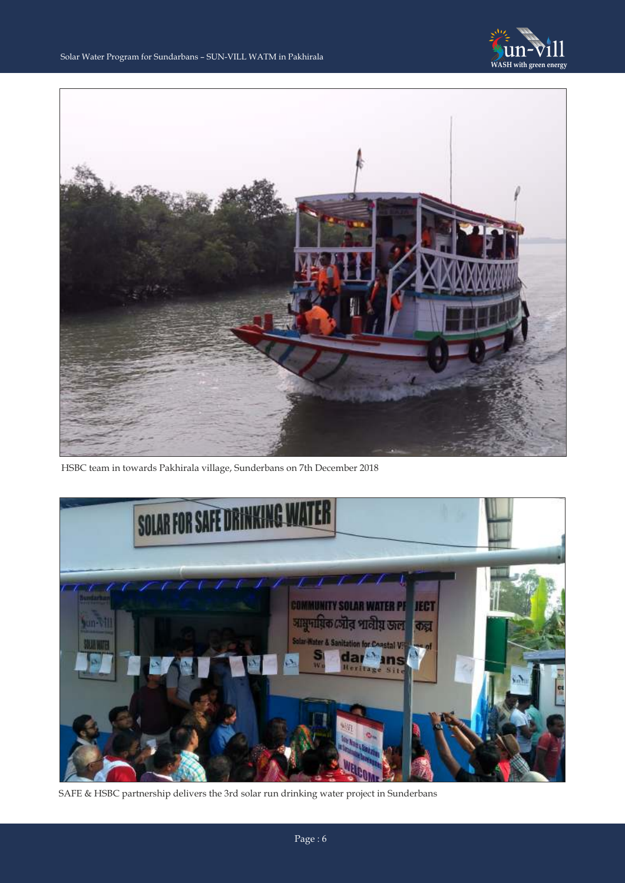



HSBC team in towards Pakhirala village, Sunderbans on 7th December 2018



SAFE & HSBC partnership delivers the 3rd solar run drinking water project in Sunderbans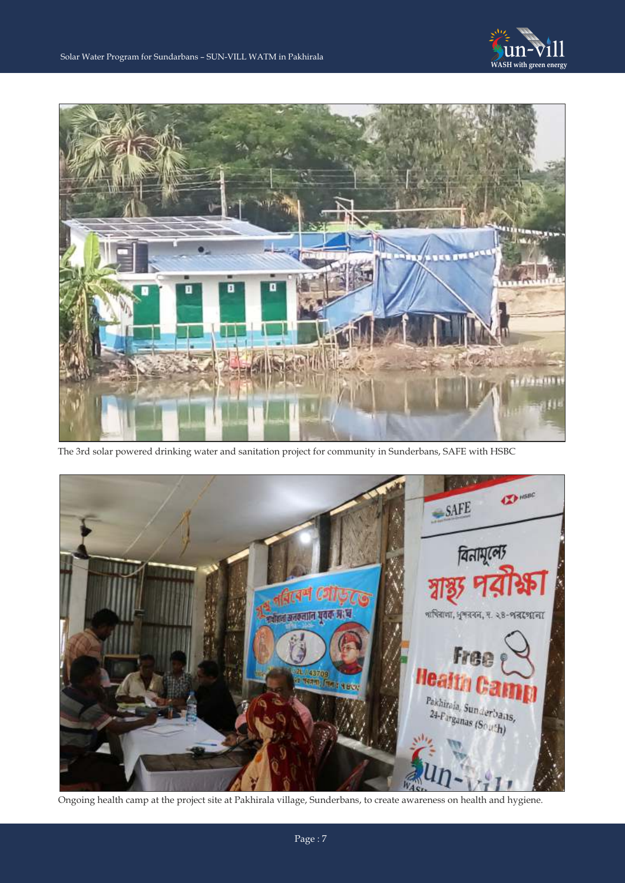



The 3rd solar powered drinking water and sanitation project for community in Sunderbans, SAFE with HSBC



Ongoing health camp at the project site at Pakhirala village, Sunderbans, to create awareness on health and hygiene.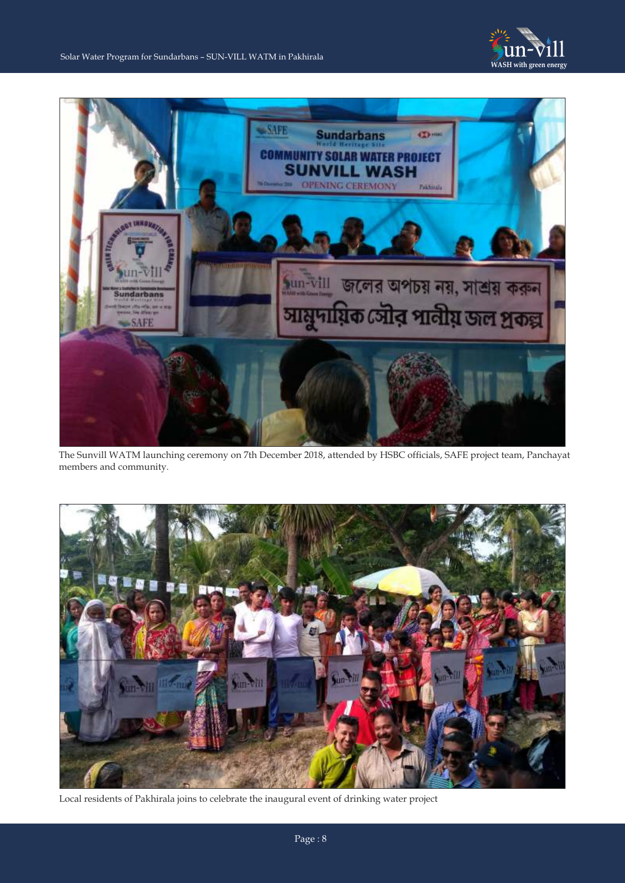



The Sunvill WATM launching ceremony on 7th December 2018, attended by HSBC officials, SAFE project team, Panchayat members and community.



Local residents of Pakhirala joins to celebrate the inaugural event of drinking water project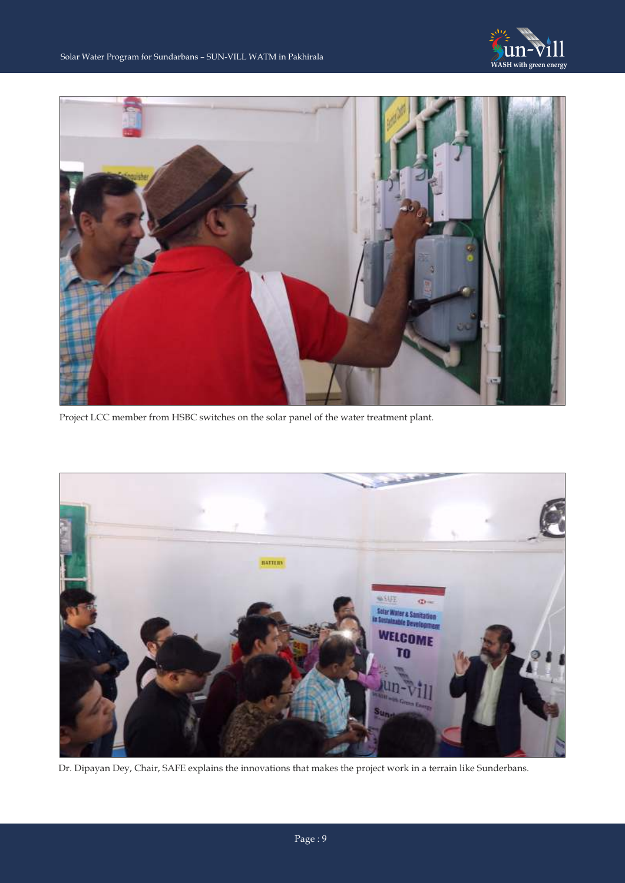



Project LCC member from HSBC switches on the solar panel of the water treatment plant.



Dr. Dipayan Dey, Chair, SAFE explains the innovations that makes the project work in a terrain like Sunderbans.